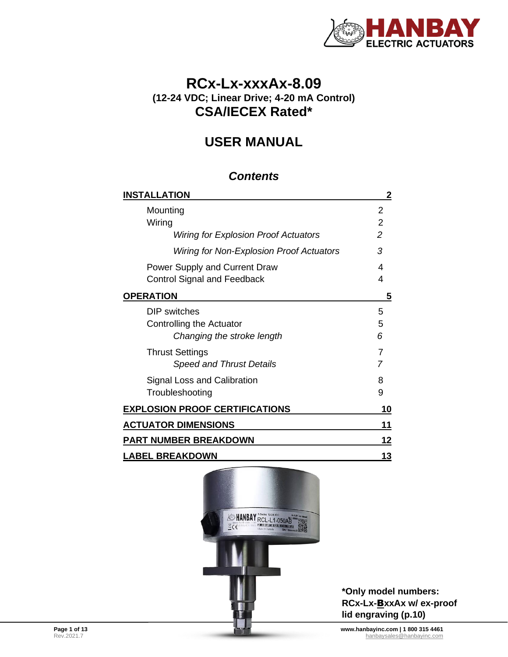

# **RCx-Lx-xxxAx-8.09 (12-24 VDC; Linear Drive; 4-20 mA Control) CSA/IECEX Rated\***

# **USER MANUAL**

## *Contents*

| <b>INSTALLATION</b>                         | 2              |
|---------------------------------------------|----------------|
| Mounting                                    | 2              |
| Wiring                                      | $\overline{2}$ |
| <b>Wiring for Explosion Proof Actuators</b> | 2              |
| Wiring for Non-Explosion Proof Actuators    | 3              |
| Power Supply and Current Draw               | 4              |
| <b>Control Signal and Feedback</b>          | 4              |
| <b>OPERATION</b>                            | 5              |
| DIP switches                                | 5              |
| Controlling the Actuator                    | 5              |
| Changing the stroke length                  | 6              |
| <b>Thrust Settings</b>                      | 7              |
| <b>Speed and Thrust Details</b>             | 7              |
| Signal Loss and Calibration                 | 8              |
| Troubleshooting                             | 9              |
| <b>EXPLOSION PROOF CERTIFICATIONS</b>       | 10             |
| <b>ACTUATOR DIMENSIONS</b>                  | 11             |
| PART NUMBER BREAKDOWN                       | 12             |
| <b>LABEL BREAKDOWN</b>                      | 13             |



**\*Only model numbers: RCx-Lx-**B**xxAx w/ ex-proof lid engraving (p[.10\)](#page-9-0)**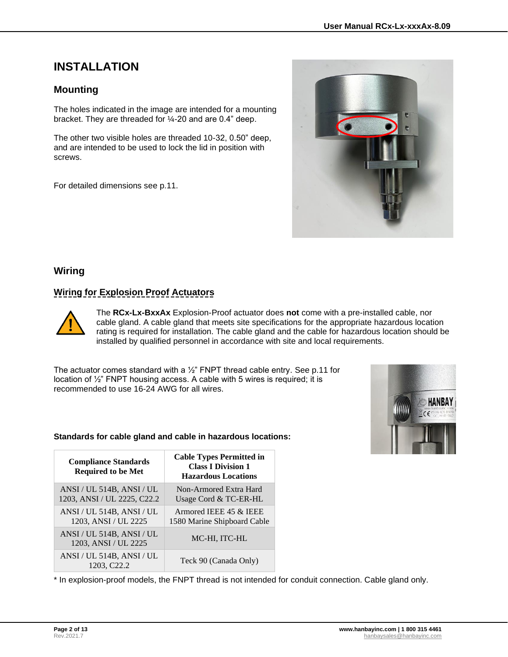# <span id="page-1-0"></span>**INSTALLATION**

## <span id="page-1-1"></span>**Mounting**

The holes indicated in the image are intended for a mounting bracket. They are threaded for ¼-20 and are 0.4" deep.

The other two visible holes are threaded 10-32, 0.50" deep, and are intended to be used to lock the lid in position with screws.

For detailed dimensions see p[.11.](#page-10-0)



### <span id="page-1-2"></span>**Wiring**

### <span id="page-1-3"></span>**Wiring for Explosion Proof Actuators**



The **RCx-Lx-BxxAx** Explosion-Proof actuator does **not** come with a pre-installed cable, nor cable gland. A cable gland that meets site specifications for the appropriate hazardous location rating is required for installation. The cable gland and the cable for hazardous location should be installed by qualified personnel in accordance with site and local requirements.

The actuator comes standard with a  $\frac{1}{2}$ " FNPT thread cable entry. See p[.11](#page-10-0) for location of ½" FNPT housing access. A cable with 5 wires is required; it is recommended to use 16-24 AWG for all wires.



#### **Standards for cable gland and cable in hazardous locations:**

| <b>Compliance Standards</b><br><b>Required to be Met</b> | <b>Cable Types Permitted in</b><br><b>Class I Division 1</b><br><b>Hazardous Locations</b> |  |  |  |
|----------------------------------------------------------|--------------------------------------------------------------------------------------------|--|--|--|
| ANSI / UL 514B, ANSI / UL<br>1203, ANSI / UL 2225, C22.2 | Non-Armored Extra Hard<br>Usage Cord & TC-ER-HL                                            |  |  |  |
| ANSI / UL 514B, ANSI / UL<br>1203, ANSI / UL 2225        | Armored IEEE 45 & IEEE<br>1580 Marine Shipboard Cable                                      |  |  |  |
| ANSI / UL 514B, ANSI / UL<br>1203, ANSI / UL 2225        | MC-HI, ITC-HL                                                                              |  |  |  |
| ANSI / UL 514B, ANSI / UL<br>1203. C <sub>22.2</sub>     | Teck 90 (Canada Only)                                                                      |  |  |  |

\* In explosion-proof models, the FNPT thread is not intended for conduit connection. Cable gland only.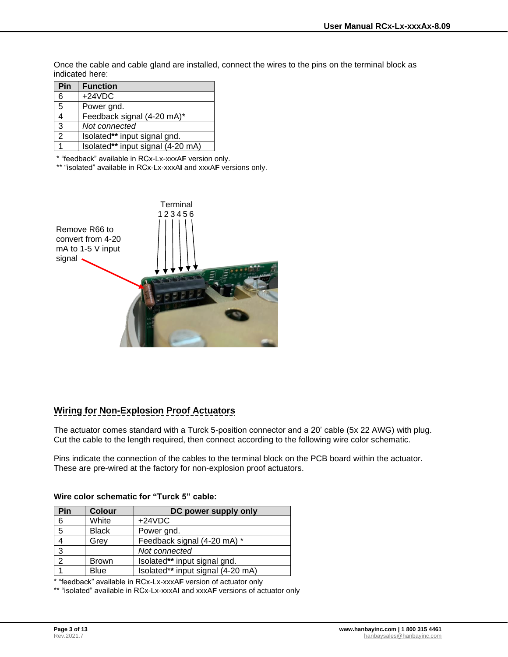Once the cable and cable gland are installed, connect the wires to the pins on the terminal block as indicated here:

| Pin           | <b>Function</b>                   |
|---------------|-----------------------------------|
| 6             | $+24VDC$                          |
| 5             | Power gnd.                        |
|               | Feedback signal (4-20 mA)*        |
| 3             | Not connected                     |
| $\mathcal{P}$ | Isolated** input signal gnd.      |
|               | Isolated** input signal (4-20 mA) |

\* "feedback" available in RCx-Lx-xxxA**F** version only.

\*\* "isolated" available in RCx-Lx-xxxA**I** and xxxA**F** versions only.



## <span id="page-2-0"></span>**Wiring for Non-Explosion Proof Actuators**

The actuator comes standard with a Turck 5-position connector and a 20' cable (5x 22 AWG) with plug. Cut the cable to the length required, then connect according to the following wire color schematic.

Pins indicate the connection of the cables to the terminal block on the PCB board within the actuator. These are pre-wired at the factory for non-explosion proof actuators.

#### **Wire color schematic for "Turck 5" cable:**

| Pin | <b>Colour</b> | DC power supply only              |
|-----|---------------|-----------------------------------|
| 6   | White         | $+24VDC$                          |
| 5   | <b>Black</b>  | Power gnd.                        |
|     | Grey          | Feedback signal (4-20 mA) *       |
| 3   |               | Not connected                     |
| C   | <b>Brown</b>  | Isolated** input signal gnd.      |
|     | <b>Blue</b>   | Isolated** input signal (4-20 mA) |

\* "feedback" available in RCx-Lx-xxxA**F** version of actuator only

\*\* "isolated" available in RCx-Lx-xxxA**I** and xxxA**F** versions of actuator only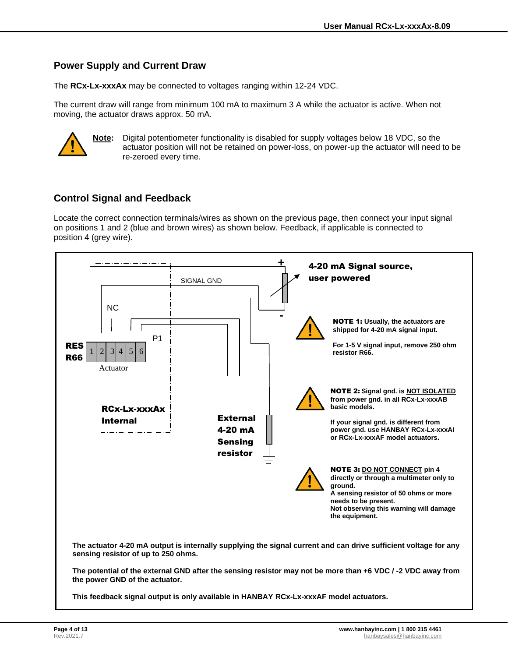### <span id="page-3-0"></span>**Power Supply and Current Draw**

The **RCx-Lx-xxxAx** may be connected to voltages ranging within 12-24 VDC.

The current draw will range from minimum 100 mA to maximum 3 A while the actuator is active. When not moving, the actuator draws approx. 50 mA.



**Note:** Digital potentiometer functionality is disabled for supply voltages below 18 VDC, so the actuator position will not be retained on power-loss, on power-up the actuator will need to be re-zeroed every time.

## <span id="page-3-1"></span>**Control Signal and Feedback**

Locate the correct connection terminals/wires as shown on the previous page, then connect your input signal on positions 1 and 2 (blue and brown wires) as shown below. Feedback, if applicable is connected to position 4 (grey wire).

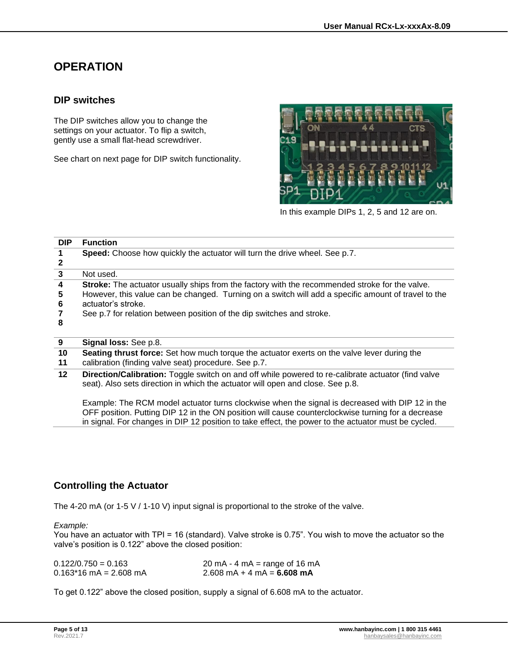# <span id="page-4-0"></span>**OPERATION**

#### <span id="page-4-1"></span>**DIP switches**

The DIP switches allow you to change the settings on your actuator. To flip a switch, gently use a small flat-head screwdriver.

See chart on next page for DIP switch functionality.



In this example DIPs 1, 2, 5 and 12 are on.

| <b>DIP</b>            | <b>Function</b>                                                                                                                                                                                                                                                                                      |
|-----------------------|------------------------------------------------------------------------------------------------------------------------------------------------------------------------------------------------------------------------------------------------------------------------------------------------------|
| 1                     | Speed: Choose how quickly the actuator will turn the drive wheel. See p.7.                                                                                                                                                                                                                           |
| 2                     |                                                                                                                                                                                                                                                                                                      |
| -3                    | Not used.                                                                                                                                                                                                                                                                                            |
| 4<br>5<br>6<br>7<br>8 | Stroke: The actuator usually ships from the factory with the recommended stroke for the valve.<br>However, this value can be changed. Turning on a switch will add a specific amount of travel to the<br>actuator's stroke.<br>See p.7 for relation between position of the dip switches and stroke. |
| 9                     | <b>Signal loss:</b> See p.8.                                                                                                                                                                                                                                                                         |

| 10  | <b>Seating thrust force:</b> Set how much torque the actuator exerts on the valve lever during the |
|-----|----------------------------------------------------------------------------------------------------|
| -44 | eolibration (finding value coat) procedure Coa p. 7                                                |

- **11** calibration (finding valve seat) procedure. See p[.7.](#page-6-1)
- **12 Direction/Calibration:** Toggle switch on and off while powered to re-calibrate actuator (find valve seat). Also sets direction in which the actuator will open and close. See p[.8.](#page-7-1)

Example: The RCM model actuator turns clockwise when the signal is decreased with DIP 12 in the OFF position. Putting DIP 12 in the ON position will cause counterclockwise turning for a decrease in signal. For changes in DIP 12 position to take effect, the power to the actuator must be cycled.

## <span id="page-4-2"></span>**Controlling the Actuator**

The 4-20 mA (or 1-5 V / 1-10 V) input signal is proportional to the stroke of the valve.

#### *Example:*

You have an actuator with TPI = 16 (standard). Valve stroke is 0.75". You wish to move the actuator so the valve's position is 0.122" above the closed position:

| $0.122/0.750 = 0.163$    | 20 mA $-$ 4 mA $=$ range of 16 mA                    |
|--------------------------|------------------------------------------------------|
| $0.163*16$ mA = 2.608 mA | $2.608 \text{ mA} + 4 \text{ mA} = 6.608 \text{ mA}$ |

To get 0.122" above the closed position, supply a signal of 6.608 mA to the actuator.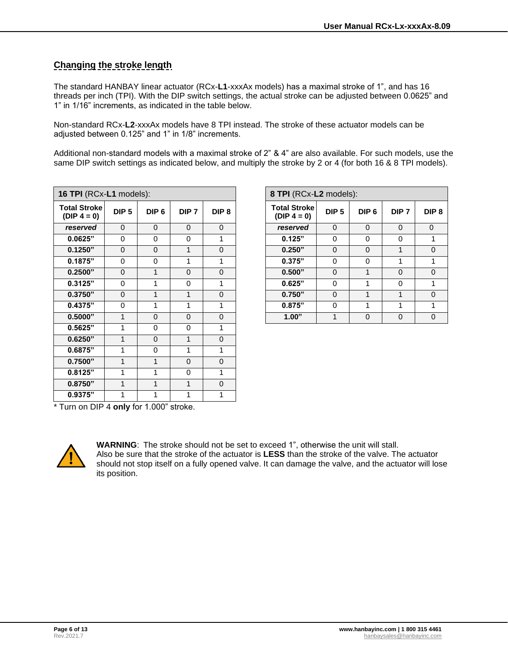### <span id="page-5-0"></span>**Changing the stroke length**

The standard HANBAY linear actuator (RCx-**L1**-xxxAx models) has a maximal stroke of 1", and has 16 threads per inch (TPI). With the DIP switch settings, the actual stroke can be adjusted between 0.0625" and 1" in 1/16" increments, as indicated in the table below.

Non-standard RCx-**L2**-xxxAx models have 8 TPI instead. The stroke of these actuator models can be adjusted between 0.125" and 1" in 1/8" increments.

Additional non-standard models with a maximal stroke of 2" & 4" are also available. For such models, use the same DIP switch settings as indicated below, and multiply the stroke by 2 or 4 (for both 16 & 8 TPI models).

| 16 TPI (RCx-L1 models):              |                  |                  |                  |                  | 8 TPI (RCx-L2 models):               |                  |                  |                  |           |
|--------------------------------------|------------------|------------------|------------------|------------------|--------------------------------------|------------------|------------------|------------------|-----------|
| <b>Total Stroke</b><br>$(DIP 4 = 0)$ | DIP <sub>5</sub> | DIP <sub>6</sub> | DIP <sub>7</sub> | DIP <sub>8</sub> | <b>Total Stroke</b><br>$(DIP 4 = 0)$ | DIP <sub>5</sub> | DIP <sub>6</sub> | DIP <sub>7</sub> | <b>DI</b> |
| reserved                             | $\Omega$         | $\mathbf{0}$     | $\Omega$         | $\Omega$         | reserved                             | $\Omega$         | $\Omega$         | $\Omega$         | $\Omega$  |
| 0.0625"                              | $\mathbf 0$      | 0                | $\Omega$         | 1                | 0.125"                               | $\Omega$         | $\Omega$         | 0                |           |
| 0.1250"                              | $\Omega$         | $\mathbf 0$      | 1                | $\Omega$         | 0.250"                               | $\Omega$         | $\Omega$         | 1                |           |
| 0.1875"                              | $\Omega$         | 0                | 1                | 1                | 0.375"                               | $\Omega$         | $\Omega$         | 1                |           |
| 0.2500"                              | $\Omega$         | 1                | $\Omega$         | $\Omega$         | 0.500"                               | $\Omega$         | 1                | $\Omega$         |           |
| 0.3125"                              | $\Omega$         | 1                | $\Omega$         | 1                | 0.625"                               | $\Omega$         | 1                | $\Omega$         |           |
| 0.3750"                              | $\Omega$         | 1                | 1                | $\Omega$         | 0.750"                               | $\Omega$         | $\mathbf{1}$     | 1                |           |
| 0.4375"                              | $\Omega$         | 1                | 1                | 1                | 0.875"                               | $\Omega$         | 1                | 1                |           |
| 0.5000"                              | 1                | $\mathbf 0$      | $\Omega$         | $\Omega$         | 1.00"                                | 1                | $\mathbf 0$      | $\mathbf 0$      |           |
| 0.5625"                              | 1                | 0                | $\Omega$         | 1                |                                      |                  |                  |                  |           |
| 0.6250"                              | 1                | 0                | 1                | $\Omega$         |                                      |                  |                  |                  |           |
| 0.6875"                              | 1                | 0                | 1                | 1                |                                      |                  |                  |                  |           |
| 0.7500"                              | $\mathbf 1$      | 1                | $\Omega$         | $\Omega$         |                                      |                  |                  |                  |           |
| 0.8125"                              | 1                | 1                | $\Omega$         | 1                |                                      |                  |                  |                  |           |
| 0.8750"                              | $\mathbf 1$      | 1                | 1                | $\mathbf 0$      |                                      |                  |                  |                  |           |
| 0.9375"                              | 1                | 1                | 1                | 1                |                                      |                  |                  |                  |           |

| TPI (RCx-L1 models):     |                  |                  |                  |                  | 8 TPI (RCx-L2 models):                |                  |                  |                  |                  |
|--------------------------|------------------|------------------|------------------|------------------|---------------------------------------|------------------|------------------|------------------|------------------|
| tal Stroke<br>)IP 4 = 0) | DIP <sub>5</sub> | DIP <sub>6</sub> | DIP <sub>7</sub> | DIP <sub>8</sub> | <b>Total Stroke</b><br>(DIP $4 = 0$ ) | DIP <sub>5</sub> | DIP <sub>6</sub> | DIP <sub>7</sub> | DIP <sub>8</sub> |
| eserved                  | $\Omega$         | $\Omega$         | $\Omega$         | $\mathbf 0$      | reserved                              | $\Omega$         | $\Omega$         | $\Omega$         | $\mathbf 0$      |
| 0.0625"                  | $\Omega$         | $\Omega$         | 0                |                  | 0.125"                                | $\Omega$         | $\Omega$         | 0                |                  |
| 0.1250"                  | $\Omega$         | $\Omega$         | 1                | $\Omega$         | 0.250"                                | $\Omega$         | $\Omega$         |                  | $\mathbf{0}$     |
| 0.1875"                  | $\Omega$         | $\Omega$         |                  |                  | 0.375"                                | $\Omega$         | 0                |                  |                  |
| 0.2500"                  | $\Omega$         |                  | 0                | $\Omega$         | 0.500"                                | $\Omega$         |                  | $\Omega$         | $\Omega$         |
| 0.3125"                  | 0                |                  | 0                |                  | 0.625"                                | $\Omega$         |                  | 0                |                  |
| 0.3750"                  | $\Omega$         |                  |                  | $\Omega$         | 0.750"                                | $\Omega$         |                  |                  | $\Omega$         |
| 0.4375"                  | $\Omega$         |                  |                  |                  | 0.875"                                | $\Omega$         |                  |                  |                  |
| 0.5000"                  |                  | $\Omega$         | $\Omega$         | $\Omega$         | 1.00"                                 | 1                | $\Omega$         | $\Omega$         | $\mathbf{0}$     |
|                          |                  |                  |                  |                  |                                       |                  |                  |                  |                  |

\* Turn on DIP 4 **only** for 1.000" stroke.



**WARNING**: The stroke should not be set to exceed 1", otherwise the unit will stall. Also be sure that the stroke of the actuator is **LESS** than the stroke of the valve. The actuator should not stop itself on a fully opened valve. It can damage the valve, and the actuator will lose its position.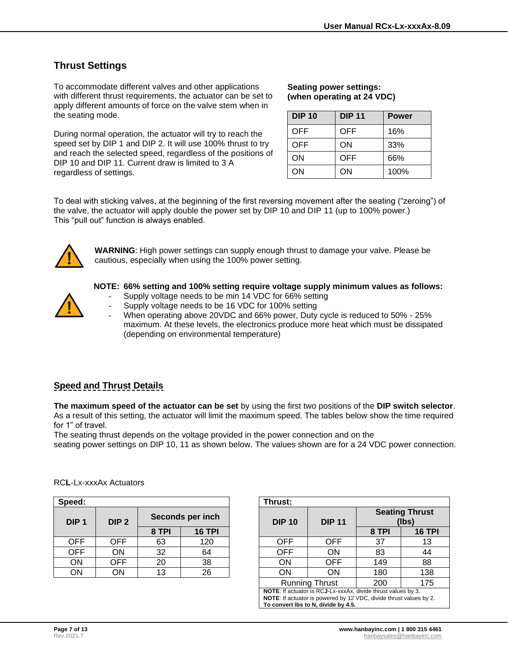# <span id="page-6-0"></span>**Thrust Settings**

To accommodate different valves and other applications with different thrust requirements, the actuator can be set to apply different amounts of force on the valve stem when in the seating mode.

During normal operation, the actuator will try to reach the speed set by DIP 1 and DIP 2. It will use 100% thrust to try and reach the selected speed, regardless of the positions of DIP 10 and DIP 11. Current draw is limited to 3 A regardless of settings.

#### **Seating power settings: (when operating at 24 VDC)**

| <b>DIP 10</b> | <b>DIP 11</b> | <b>Power</b> |
|---------------|---------------|--------------|
| OFF           | OFF           | 16%          |
| OFF           | ON            | 33%          |
| ΟN            | <b>OFF</b>    | 66%          |
| ON            | ON            | 100%         |

To deal with sticking valves, at the beginning of the first reversing movement after the seating ("zeroing") of the valve, the actuator will apply double the power set by DIP 10 and DIP 11 (up to 100% power.) This "pull out" function is always enabled.



**WARNING**: High power settings can supply enough thrust to damage your valve. Please be cautious, especially when using the 100% power setting.



#### **NOTE: 66% setting and 100% setting require voltage supply minimum values as follows:**

- Supply voltage needs to be min 14 VDC for 66% setting
- Supply voltage needs to be 16 VDC for 100% setting
- When operating above 20VDC and 66% power, Duty cycle is reduced to 50% 25% maximum. At these levels, the electronics produce more heat which must be dissipated (depending on environmental temperature)

## <span id="page-6-1"></span>**Speed and Thrust Details**

**The maximum speed of the actuator can be set** by using the first two positions of the **DIP switch selector**. As a result of this setting, the actuator will limit the maximum speed. The tables below show the time required for 1" of travel.

The seating thrust depends on the voltage provided in the power connection and on the

seating power settings on DIP 10, 11 as shown below. The values shown are for a 24 VDC power connection.

| Speed:           |                  |                  | Thrust:       |               |            |               |  |
|------------------|------------------|------------------|---------------|---------------|------------|---------------|--|
| DIP <sub>1</sub> | DIP <sub>2</sub> | Seconds per inch |               | <b>DIP 10</b> |            | <b>DIP 11</b> |  |
|                  |                  | 8 TPI            | <b>16 TPI</b> |               |            |               |  |
| <b>OFF</b>       | <b>OFF</b>       | 63               | 120           |               | <b>OFF</b> | OFF           |  |
| <b>OFF</b>       | ON               | 32               | 64            |               | <b>OFF</b> | ON            |  |
| ON               | OFF              | 20               | 38            |               | ΟN         | OFF           |  |
| ΟN               | ON               | 13               | 26            |               | ΟN         | ΟN            |  |

| eed:        |                  |       |                  | Thrust:                                                                                                                                                                    |                       |       |                                |  |
|-------------|------------------|-------|------------------|----------------------------------------------------------------------------------------------------------------------------------------------------------------------------|-----------------------|-------|--------------------------------|--|
| <b>DIP1</b> | DIP <sub>2</sub> |       | Seconds per inch | <b>DIP 10</b>                                                                                                                                                              | <b>DIP 11</b>         |       | <b>Seating Thrust</b><br>(Ibs) |  |
|             |                  | 8 TPI | <b>16 TPI</b>    |                                                                                                                                                                            |                       | 8 TPI | <b>16 TPI</b>                  |  |
| OFF         | OFF.             | 63    | 120              | <b>OFF</b>                                                                                                                                                                 | <b>OFF</b>            | 37    | 13                             |  |
| OFF.        | <b>ON</b>        | 32    | 64               | <b>OFF</b>                                                                                                                                                                 | ON                    | 83    | 44                             |  |
| <b>ON</b>   | <b>OFF</b>       | 20    | 38               | <b>ON</b>                                                                                                                                                                  | <b>OFF</b>            | 149   | 88                             |  |
| <b>ON</b>   | <b>ON</b>        | 13    | 26               | ON                                                                                                                                                                         | ON                    | 180   | 138                            |  |
|             |                  |       |                  |                                                                                                                                                                            | <b>Running Thrust</b> | 200   | 175                            |  |
|             |                  |       |                  | NOTE: If actuator is RCJ-Lx-xxxAx, divide thrust values by 3.<br>NOTE: If actuator is powered by 12 VDC, divide thrust values by 2.<br>To convert lbs to N. divide by 4.5. |                       |       |                                |  |

#### RC**L**-Lx-xxxAx Actuators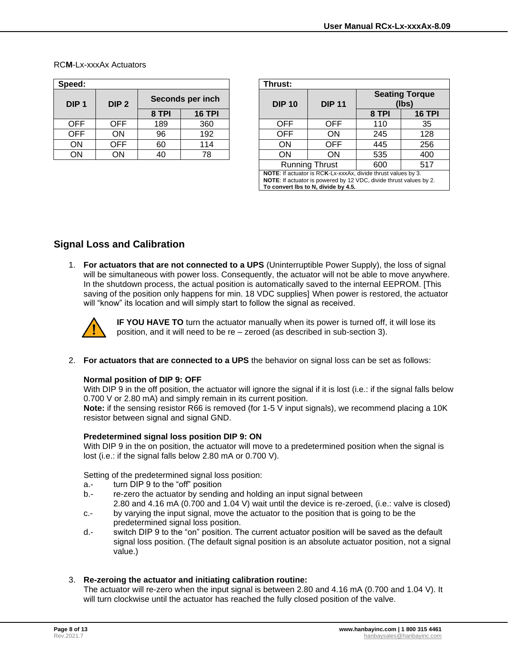| Speed:           |                  |       | Thrust:          |               |               |  |
|------------------|------------------|-------|------------------|---------------|---------------|--|
| DIP <sub>1</sub> | DIP <sub>2</sub> |       | Seconds per inch | <b>DIP 10</b> | <b>DIP 11</b> |  |
|                  |                  | 8 TPI | <b>16 TPI</b>    |               |               |  |
| <b>OFF</b>       | OFF              | 189   | 360              | <b>OFF</b>    | OFF           |  |
| <b>OFF</b>       | ON               | 96    | 192              | <b>OFF</b>    | ON            |  |
| ON               | OFF              | 60    | 114              | ON            | OFF           |  |
| ΟN               | ON               | 40    | 78               | ΟN            | <b>JN</b>     |  |

| eed:        |                  |       |                  |  | Thrust:                                                                                                                                                                                  |                       |                                |               |  |
|-------------|------------------|-------|------------------|--|------------------------------------------------------------------------------------------------------------------------------------------------------------------------------------------|-----------------------|--------------------------------|---------------|--|
| <b>DIP1</b> | DIP <sub>2</sub> |       | Seconds per inch |  | <b>DIP 10</b>                                                                                                                                                                            | <b>DIP 11</b>         | <b>Seating Torque</b><br>(Ibs) |               |  |
|             |                  | 8 TPI | <b>16 TPI</b>    |  |                                                                                                                                                                                          |                       | 8 TPI                          | <b>16 TPI</b> |  |
| OFF         | OFF.             | 189   | 360              |  | <b>OFF</b>                                                                                                                                                                               | OFF                   | 110                            | 35            |  |
| OFF.        | ON               | 96    | 192              |  | <b>OFF</b>                                                                                                                                                                               | <b>ON</b>             | 245                            | 128           |  |
| ON          | OFF              | 60    | 114              |  | <b>ON</b>                                                                                                                                                                                | <b>OFF</b>            | 445                            | 256           |  |
| ON          | ΟN               | 40    | 78               |  | ON                                                                                                                                                                                       | <b>ON</b>             | 535                            | 400           |  |
|             |                  |       |                  |  |                                                                                                                                                                                          | <b>Running Thrust</b> | 600                            | 517           |  |
|             |                  |       |                  |  | <b>NOTE:</b> If actuator is RCK-Lx-xxxAx, divide thrust values by 3.<br><b>NOTE:</b> If actuator is powered by 12 VDC, divide thrust values by 2.<br>To convert lbs to N, divide by 4.5. |                       |                                |               |  |

#### RC**M**-Lx-xxxAx Actuators

### <span id="page-7-1"></span><span id="page-7-0"></span>**Signal Loss and Calibration**

1. **For actuators that are not connected to a UPS** (Uninterruptible Power Supply), the loss of signal will be simultaneous with power loss. Consequently, the actuator will not be able to move anywhere. In the shutdown process, the actual position is automatically saved to the internal EEPROM. [This saving of the position only happens for min. 18 VDC supplies] When power is restored, the actuator will "know" its location and will simply start to follow the signal as received.



**IF YOU HAVE TO** turn the actuator manually when its power is turned off, it will lose its position, and it will need to be re – zeroed (as described in sub-section 3).

2. **For actuators that are connected to a UPS** the behavior on signal loss can be set as follows:

#### **Normal position of DIP 9: OFF**

With DIP 9 in the off position, the actuator will ignore the signal if it is lost (i.e.: if the signal falls below 0.700 V or 2.80 mA) and simply remain in its current position.

**Note:** if the sensing resistor R66 is removed (for 1-5 V input signals), we recommend placing a 10K resistor between signal and signal GND.

#### **Predetermined signal loss position DIP 9: ON**

With DIP 9 in the on position, the actuator will move to a predetermined position when the signal is lost (i.e.: if the signal falls below 2.80 mA or 0.700 V).

Setting of the predetermined signal loss position:

- a.- turn DIP 9 to the "off" position
- b.- re-zero the actuator by sending and holding an input signal between 2.80 and 4.16 mA (0.700 and 1.04 V) wait until the device is re-zeroed, (i.e.: valve is closed)
- c.- by varying the input signal, move the actuator to the position that is going to be the predetermined signal loss position.
- d.- switch DIP 9 to the "on" position. The current actuator position will be saved as the default signal loss position. (The default signal position is an absolute actuator position, not a signal value.)

#### 3. **Re-zeroing the actuator and initiating calibration routine:**

The actuator will re-zero when the input signal is between 2.80 and 4.16 mA (0.700 and 1.04 V). It will turn clockwise until the actuator has reached the fully closed position of the valve.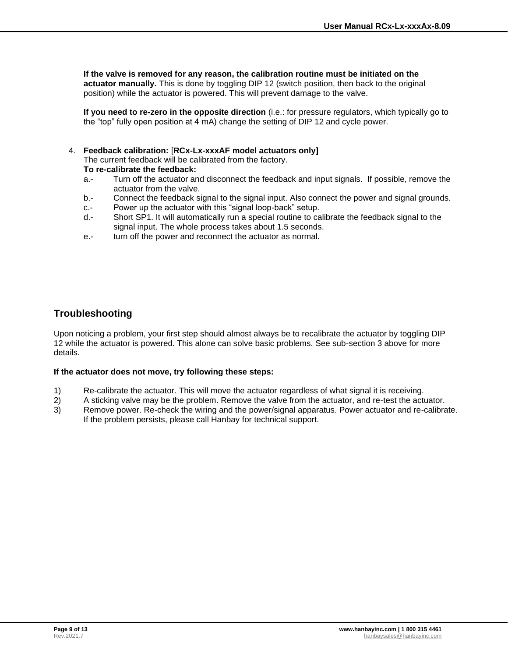**If the valve is removed for any reason, the calibration routine must be initiated on the actuator manually.** This is done by toggling DIP 12 (switch position, then back to the original position) while the actuator is powered. This will prevent damage to the valve.

**If you need to re-zero in the opposite direction** (i.e.: for pressure regulators, which typically go to the "top" fully open position at 4 mA) change the setting of DIP 12 and cycle power.

#### 4. **Feedback calibration:** [**RCx-Lx-xxxAF model actuators only]**

The current feedback will be calibrated from the factory. **To re-calibrate the feedback:**

- a.- Turn off the actuator and disconnect the feedback and input signals. If possible, remove the actuator from the valve.
- b.- Connect the feedback signal to the signal input. Also connect the power and signal grounds.
- c.- Power up the actuator with this "signal loop-back" setup.
- d.- Short SP1. It will automatically run a special routine to calibrate the feedback signal to the signal input. The whole process takes about 1.5 seconds.
- e.- turn off the power and reconnect the actuator as normal.

### <span id="page-8-0"></span>**Troubleshooting**

Upon noticing a problem, your first step should almost always be to recalibrate the actuator by toggling DIP 12 while the actuator is powered. This alone can solve basic problems. See sub-section 3 above for more details.

#### **If the actuator does not move, try following these steps:**

- 1) Re-calibrate the actuator. This will move the actuator regardless of what signal it is receiving.
- 2) A sticking valve may be the problem. Remove the valve from the actuator, and re-test the actuator.
- 3) Remove power. Re-check the wiring and the power/signal apparatus. Power actuator and re-calibrate. If the problem persists, please call Hanbay for technical support.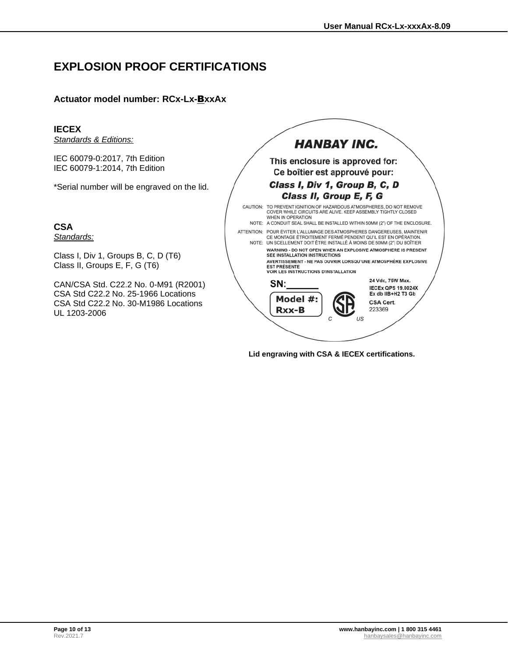# <span id="page-9-0"></span>**EXPLOSION PROOF CERTIFICATIONS**

### **Actuator model number: RCx-Lx-**B**xxAx**

#### **IECEX**

*Standards & Editions:*

IEC 60079-0:2017, 7th Edition IEC 60079-1:2014, 7th Edition

\*Serial number will be engraved on the lid.

**CSA**

*Standards:*

Class I, Div 1, Groups B, C, D (T6) Class II, Groups E, F, G (T6)

CAN/CSA Std. C22.2 No. 0-M91 (R2001) CSA Std C22.2 No. 25-1966 Locations CSA Std C22.2 No. 30-M1986 Locations UL 1203-2006



**Lid engraving with CSA & IECEX certifications.**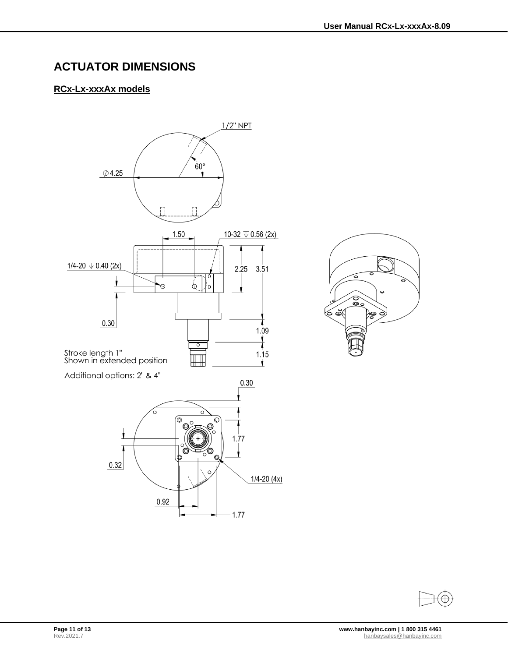# <span id="page-10-0"></span>**ACTUATOR DIMENSIONS**

## **RCx-Lx-xxxAx models**





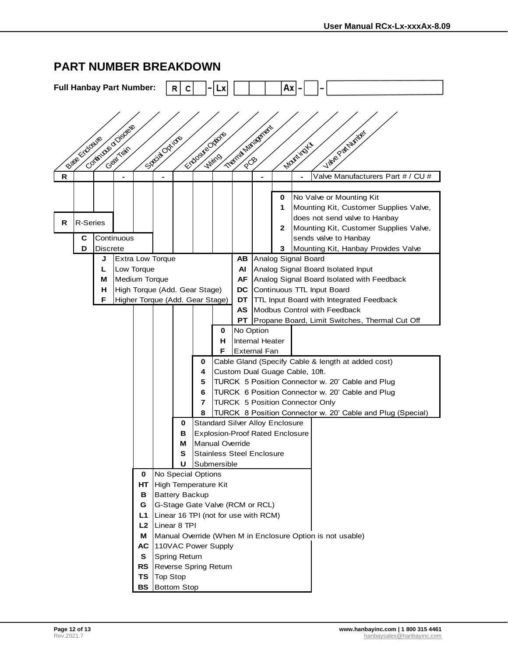|                                                                                                                   |                    |                                        | <b>Full Hanbay Part Number:</b> |          |                                                            | R<br>с                                      |        |        |                        |                     | Аx                          |                                 |  |                                                                                                                                                                                                               |  |
|-------------------------------------------------------------------------------------------------------------------|--------------------|----------------------------------------|---------------------------------|----------|------------------------------------------------------------|---------------------------------------------|--------|--------|------------------------|---------------------|-----------------------------|---------------------------------|--|---------------------------------------------------------------------------------------------------------------------------------------------------------------------------------------------------------------|--|
| Compagne Displaye<br>Trend National<br>Lake Patricks<br>Enforcemental<br>Breeck days<br>Septiment of<br>Montingla |                    |                                        |                                 |          |                                                            |                                             |        |        |                        |                     |                             |                                 |  |                                                                                                                                                                                                               |  |
| $\mathsf{R}$                                                                                                      |                    |                                        |                                 |          |                                                            |                                             |        |        |                        |                     |                             |                                 |  | Valve Manufacturers Part # / CU #                                                                                                                                                                             |  |
| R                                                                                                                 | R-Series<br>C<br>D | <b>Discrete</b>                        | Continuous                      |          |                                                            |                                             |        |        |                        |                     | 0<br>1<br>$\mathbf{2}$<br>3 |                                 |  | No Valve or Mounting Kit<br>Mounting Kit, Customer Supplies Valve,<br>does not send valve to Hanbay<br>Mounting Kit, Customer Supplies Valve,<br>sends valve to Hanbay<br>Mounting Kit, Hanbay Provides Valve |  |
|                                                                                                                   |                    | J                                      |                                 |          | <b>Extra Low Torque</b>                                    |                                             |        |        | AB.                    |                     |                             | Analog Signal Board             |  |                                                                                                                                                                                                               |  |
|                                                                                                                   |                    | L                                      | Low Torque                      |          |                                                            |                                             |        |        | AI                     |                     |                             |                                 |  | Analog Signal Board Isolated Input                                                                                                                                                                            |  |
|                                                                                                                   |                    | м<br>н                                 | Medium Torque                   |          | High Torque (Add. Gear Stage)                              |                                             |        |        | <b>AF</b><br>DC.       |                     |                             |                                 |  | Analog Signal Board Isolated with Feedback<br>Continuous TTL Input Board                                                                                                                                      |  |
|                                                                                                                   |                    | F                                      |                                 |          | Higher Torque (Add. Gear Stage)                            |                                             |        |        | DT                     |                     |                             |                                 |  | <b>TTL Input Board with Integrated Feedback</b>                                                                                                                                                               |  |
|                                                                                                                   |                    |                                        |                                 |          |                                                            |                                             |        |        | AS.                    |                     |                             |                                 |  | Modbus Control with Feedback                                                                                                                                                                                  |  |
|                                                                                                                   |                    |                                        |                                 |          |                                                            |                                             |        |        | PT                     |                     |                             |                                 |  | Propane Board, Limit Switches, Thermal Cut Off                                                                                                                                                                |  |
|                                                                                                                   |                    |                                        |                                 |          |                                                            |                                             |        | 0<br>н | No Option              | Internal Heater     |                             |                                 |  |                                                                                                                                                                                                               |  |
|                                                                                                                   |                    |                                        |                                 |          |                                                            |                                             |        | F      |                        | <b>External Fan</b> |                             |                                 |  |                                                                                                                                                                                                               |  |
|                                                                                                                   |                    |                                        |                                 |          |                                                            |                                             | 0      |        |                        |                     |                             |                                 |  | Cable Gland (Specify Cable & length at added cost)                                                                                                                                                            |  |
|                                                                                                                   |                    |                                        |                                 |          |                                                            |                                             | 4      |        |                        |                     |                             | Custom Dual Guage Cable, 10ft.  |  |                                                                                                                                                                                                               |  |
|                                                                                                                   |                    |                                        |                                 |          |                                                            |                                             | 5      |        |                        |                     |                             |                                 |  | TURCK 5 Position Connector w. 20' Cable and Plug                                                                                                                                                              |  |
|                                                                                                                   |                    |                                        |                                 |          |                                                            |                                             | 6      |        |                        |                     |                             |                                 |  | TURCK 6 Position Connector w. 20' Cable and Plug                                                                                                                                                              |  |
|                                                                                                                   |                    |                                        |                                 |          |                                                            |                                             | 7<br>8 |        |                        |                     |                             | TURCK 5 Position Connector Only |  | TURCK 8 Position Connector w. 20' Cable and Plug (Special)                                                                                                                                                    |  |
|                                                                                                                   |                    |                                        |                                 |          |                                                            | <b>Standard Silver Alloy Enclosure</b><br>0 |        |        |                        |                     |                             |                                 |  |                                                                                                                                                                                                               |  |
|                                                                                                                   |                    |                                        |                                 |          |                                                            | <b>Explosion-Proof Rated Enclosure</b><br>в |        |        |                        |                     |                             |                                 |  |                                                                                                                                                                                                               |  |
|                                                                                                                   |                    |                                        |                                 |          |                                                            | М                                           |        |        | <b>Manual Override</b> |                     |                             |                                 |  |                                                                                                                                                                                                               |  |
|                                                                                                                   |                    |                                        |                                 |          |                                                            | <b>Stainless Steel Enclosure</b><br>s       |        |        |                        |                     |                             |                                 |  |                                                                                                                                                                                                               |  |
|                                                                                                                   |                    | U<br>Submersible<br>No Special Options |                                 |          |                                                            |                                             |        |        |                        |                     |                             |                                 |  |                                                                                                                                                                                                               |  |
|                                                                                                                   |                    |                                        |                                 | 0<br>HT. | High Temperature Kit                                       |                                             |        |        |                        |                     |                             |                                 |  |                                                                                                                                                                                                               |  |
|                                                                                                                   |                    |                                        |                                 | в        |                                                            | <b>Battery Backup</b>                       |        |        |                        |                     |                             |                                 |  |                                                                                                                                                                                                               |  |
|                                                                                                                   |                    |                                        |                                 | G        |                                                            | G-Stage Gate Valve (RCM or RCL)             |        |        |                        |                     |                             |                                 |  |                                                                                                                                                                                                               |  |
|                                                                                                                   |                    |                                        |                                 | L1       | Linear 16 TPI (not for use with RCM)                       |                                             |        |        |                        |                     |                             |                                 |  |                                                                                                                                                                                                               |  |
|                                                                                                                   |                    |                                        |                                 | L2       | Linear 8 TPI                                               |                                             |        |        |                        |                     |                             |                                 |  |                                                                                                                                                                                                               |  |
|                                                                                                                   |                    |                                        |                                 | м        | Manual Override (When M in Enclosure Option is not usable) |                                             |        |        |                        |                     |                             |                                 |  |                                                                                                                                                                                                               |  |
|                                                                                                                   |                    |                                        |                                 | АC<br>S. | 110VAC Power Supply<br>Spring Return                       |                                             |        |        |                        |                     |                             |                                 |  |                                                                                                                                                                                                               |  |
|                                                                                                                   |                    |                                        |                                 | RS.      | Reverse Spring Return                                      |                                             |        |        |                        |                     |                             |                                 |  |                                                                                                                                                                                                               |  |
|                                                                                                                   |                    |                                        |                                 | TS       | <b>Top Stop</b>                                            |                                             |        |        |                        |                     |                             |                                 |  |                                                                                                                                                                                                               |  |
| <b>BS</b> Bottom Stop                                                                                             |                    |                                        |                                 |          |                                                            |                                             |        |        |                        |                     |                             |                                 |  |                                                                                                                                                                                                               |  |

# <span id="page-11-0"></span>**PART NUMBER BREAKDOWN**